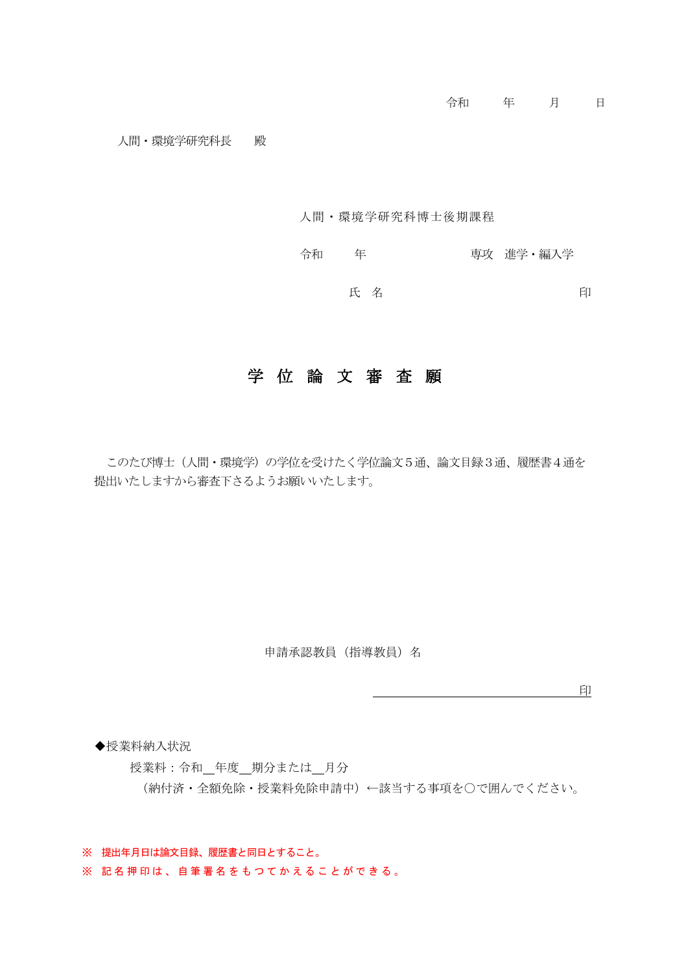#### 人間・環境学研究科博士後期課程

令和 年 事文 進学・編入学 氏名 2000年 10月 日

## 学位論文審査願

このたび博士(人間・環境学)の学位を受けたく学位論文5通、論文目録3通、履歴書4通を 提出いたしますから審査下さるようお願いいたします。

申請承認教員(指導教員)名

**印度的 医血管** 医血管 医血管 医血管

◆授業料納入状況

授業料:令和 年度 期分または 月分 (納付済・全額免除・授業料免除申請中)←該当する事項を○で囲んでください。

※ 提出年月日は論文目録、履歴書と同日とすること。

※ 記名押印は、自筆署名をもつてかえることができる。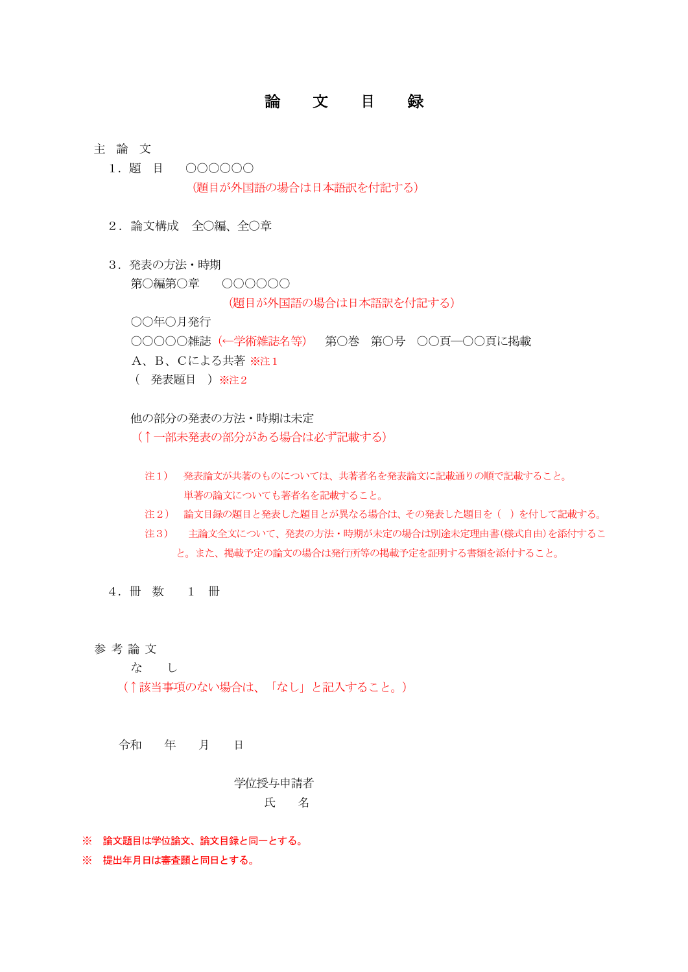## 論 文 目 録

#### 主 論 文

- 1.題 目 ○○○○○○ (題目が外国語の場合は日本語訳を付記する)
- 2.論文構成 全○編、全○章
- 3. 発表の方法・時期 第○編第○章 ○○○○○○

(題目が外国語の場合は日本語訳を付記する)

○○年○月発行

○○○○○雑誌(←学術雑誌名等) 第○巻 第○号 ○○頁―○○頁に掲載

- A、B、Cによる共著 ※注1
- ( 発表題目 )※注2

他の部分の発表の方法・時期は未定

(↑一部未発表の部分がある場合は必ず記載する)

- 注1) 発表論文が共著のものについては、共著者名を発表論文に記載通りの順で記載すること。 単著の論文についても著者名を記載すること。
- 注2) 論文目録の題目と発表した題目とが異なる場合は、その発表した題目を( )を付して記載する。
- 注3) 主論文全文について、発表の方法・時期が未定の場合は別途未定理由書(様式自由)を添付するこ と。また、掲載予定の論文の場合は発行所等の掲載予定を証明する書類を添付すること。

4.冊 数 1 冊

参 考 論 文

な し

(↑該当事項のない場合は、「なし」と記入すること。)

令和 年 月 日

学位授与申請者 氏 名

※ 論文題目は学位論文、論文目録と同一とする。

※ 提出年月日は審査願と同日とする。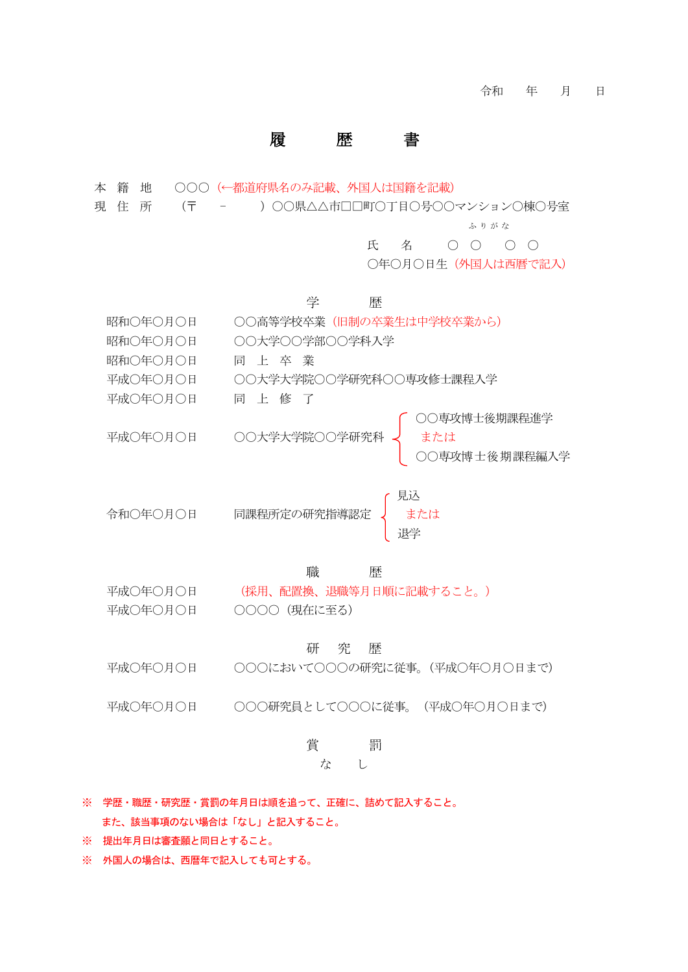### 履 歴

本 籍 地 ○○○(←都道府県名のみ記載、外国人は国籍を記載)

現 住 所 (〒 - )○○県△△市□□町○丁目○号○○マンション○棟○号室

ふりがな

氏 名 〇 〇 〇 〇

○年○月○日生(外国人は西暦で記入)

学 歴

- 昭和○年○月○日 ○○高等学校卒業(旧制の卒業生は中学校卒業から)
- 昭和○年○月○日 ○○大学○○学部○○学科入学
- 昭和○年○月○日 同 上 卒 業
- 平成○年○月○日 ○○大学大学院○○学研究科○○専攻修士課程入学
- 平成○年○月○日 同 上 修 了
- ○○専攻博士後期課程進学 平成○年○月○日 ○○大学大学院○○学研究科 く または ○○専攻博士後期課程編入学

見込 令和○年○月○日 同課程所定の研究指導認定 ♩ または 退学

#### 職 歴

平成○年○月○日 (採用、配置換、退職等月日順に記載すること。) 平成○年○月○日 ○○○○(現在に至る)

#### 研 究 歴

- 平成○年○月○日 ○○○において○○○の研究に従事。(平成○年○月○日まで)
- 平成○年○月○日 ○○○研究員として○○○に従事。(平成○年○月○日まで)

### 賞 罰

#### な し

- ※ 学歴・職歴・研究歴・賞罰の年月日は順を追って、正確に、詰めて記入すること。 また、該当事項のない場合は「なし」と記入すること。
- ※ 提出年月日は審査願と同日とすること。
- ※ 外国人の場合は、西暦年で記入しても可とする。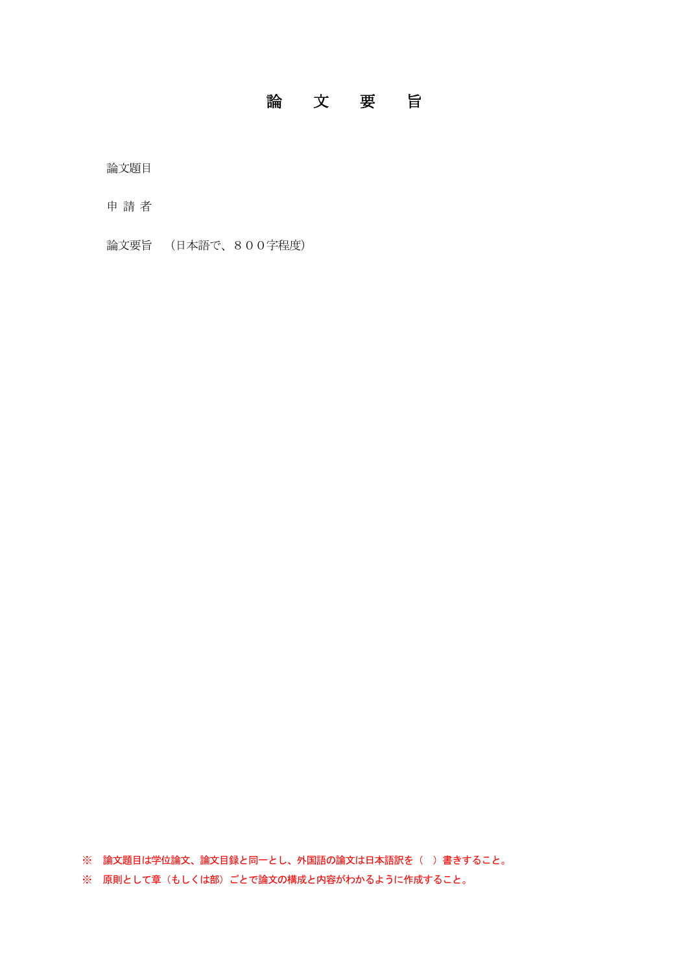## 論文要旨

論文題目

申 請 者

論文要旨 (日本語で、800字程度)

※ 論文題目は学位論文、論文目録と同一とし、外国語の論文は日本語訳を()書きすること。

※ 原則として章(もしくは部)ごとで論文の構成と内容がわかるように作成すること。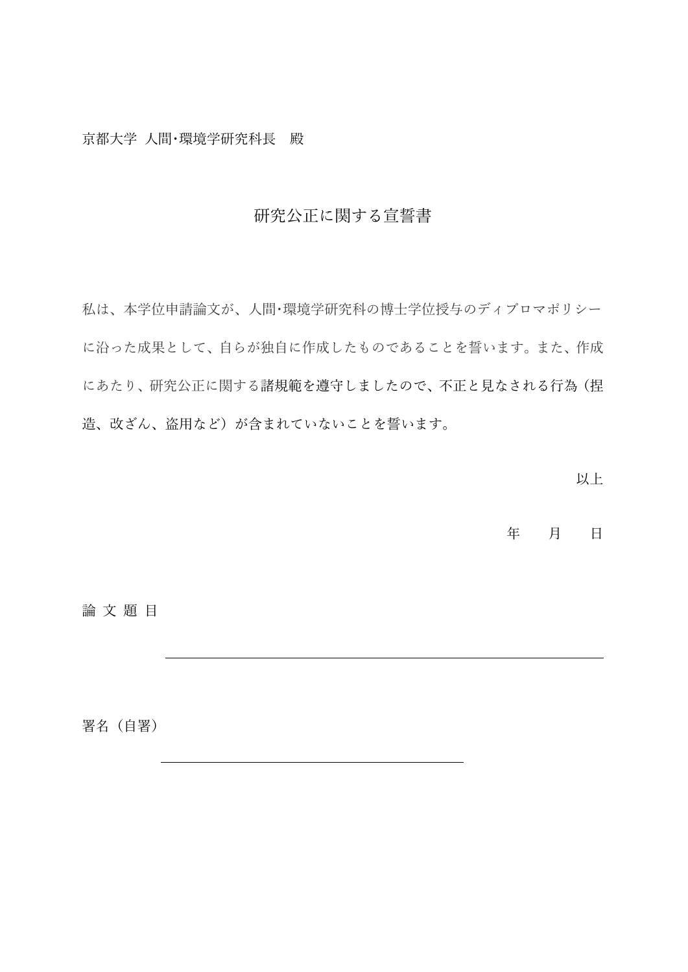京都大学 人間・環境学研究科長 殿

## 研究公正に関する宣誓書

私は、本学位申請論文が、人間・環境学研究科の博士学位授与のディプロマポリシー に沿った成果として、自らが独自に作成したものであることを誓います。また、作成 にあたり、研究公正に関する諸規範を遵守しましたので、不正と見なされる行為(捏 造、改ざん、盗用など)が含まれていないことを誓います。

以上

年 月 日

論 文 題 目

署名 (自署)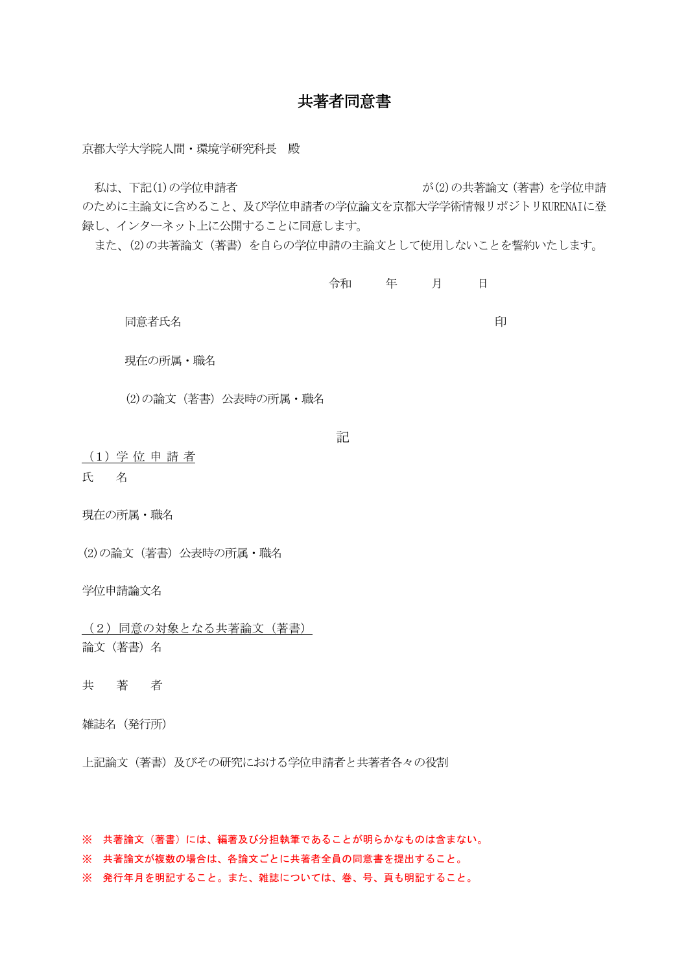## 共著者同意書

京都大学大学院人間・環境学研究科長 殿

私は、下記(1)の学位申請者 インスティング (2)の共著論文(著書)を学位申請

のために主論文に含めること、及び学位申請者の学位論文を京都大学学術情報リポジトリKURENAIに登 録し、インターネット上に公開することに同意します。

また、(2)の共著論文(著書)を自らの学位申請の主論文として使用しないことを誓約いたします。

令和 年 月 日

同意者氏名 しょうしょう しゅうしょう しゅうしょう しゅうしょう いちのう 印

現在の所属・職名

(2)の論文(著書)公表時の所属・職名

記

(1)学 位 申 請 者 氏 名

現在の所属・職名

(2)の論文(著書)公表時の所属・職名

学位申請論文名

(2)同意の対象となる共著論文(著書) 論文(著書)名

共著者

雑誌名(発行所)

上記論文(著書)及びその研究における学位申請者と共著者各々の役割

※ 共著論文(著書)には、編著及び分担執筆であることが明らかなものは含まない。

※ 共著論文が複数の場合は、各論文ごとに共著者全員の同意書を提出すること。

※ 発行年月を明記すること。また、雑誌については、巻、号、頁も明記すること。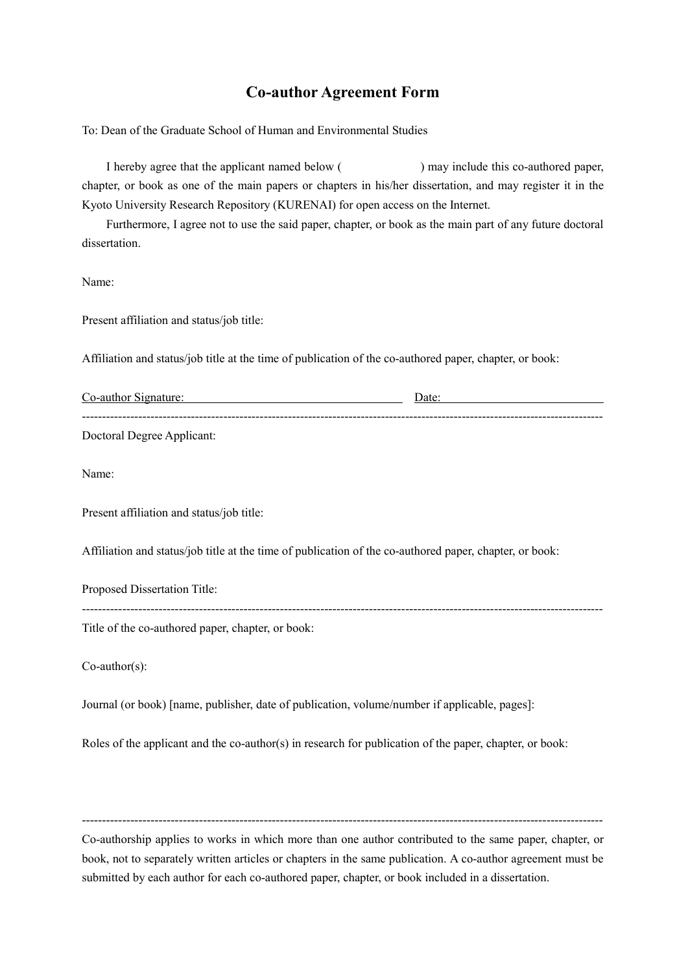### **Co-author Agreement Form**

To: Dean of the Graduate School of Human and Environmental Studies

I hereby agree that the applicant named below () may include this co-authored paper, chapter, or book as one of the main papers or chapters in his/her dissertation, and may register it in the Kyoto University Research Repository (KURENAI) for open access on the Internet.

 Furthermore, I agree not to use the said paper, chapter, or book as the main part of any future doctoral dissertation.

Name:

Present affiliation and status/job title:

Affiliation and status/job title at the time of publication of the co-authored paper, chapter, or book:

| Co-author Signature:                                                                                    | Date: |  |  |
|---------------------------------------------------------------------------------------------------------|-------|--|--|
| Doctoral Degree Applicant:                                                                              |       |  |  |
| Name:                                                                                                   |       |  |  |
| Present affiliation and status/job title:                                                               |       |  |  |
| Affiliation and status/job title at the time of publication of the co-authored paper, chapter, or book: |       |  |  |
| Proposed Dissertation Title:                                                                            |       |  |  |
| Title of the co-authored paper, chapter, or book:                                                       |       |  |  |
| $Co$ -author $(s)$ :                                                                                    |       |  |  |
| Journal (or book) [name, publisher, date of publication, volume/number if applicable, pages]:           |       |  |  |
| Roles of the applicant and the co-author(s) in research for publication of the paper, chapter, or book: |       |  |  |

Co-authorship applies to works in which more than one author contributed to the same paper, chapter, or book, not to separately written articles or chapters in the same publication. A co-author agreement must be submitted by each author for each co-authored paper, chapter, or book included in a dissertation.

---------------------------------------------------------------------------------------------------------------------------------